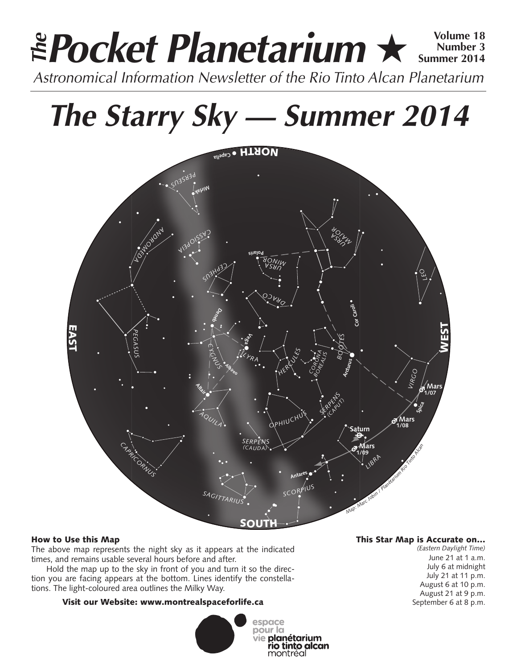# **Pocket Planetarium** ★ **Volume 18** Astronomical Information Newsletter of the Rio Tinto Alcan Planetarium **The Number 3 Summer 2014**

# **The Starry Sky — Summer 2014**



# How to Use this Map

The above map represents the night sky as it appears at the indicated times, and remains usable several hours before and after.

Hold the map up to the sky in front of you and turn it so the direction you are facing appears at the bottom. Lines identify the constellations. The light-coloured area outlines the Milky Way.

# Visit our Website: www.montrealspaceforlife.ca



# This Star Map is Accurate on…

*(Eastern Daylight Time)* June 21 at 1 a.m. July 6 at midnight July 21 at 11 p.m. August 6 at 10 p.m. August 21 at 9 p.m. September 6 at 8 p.m.